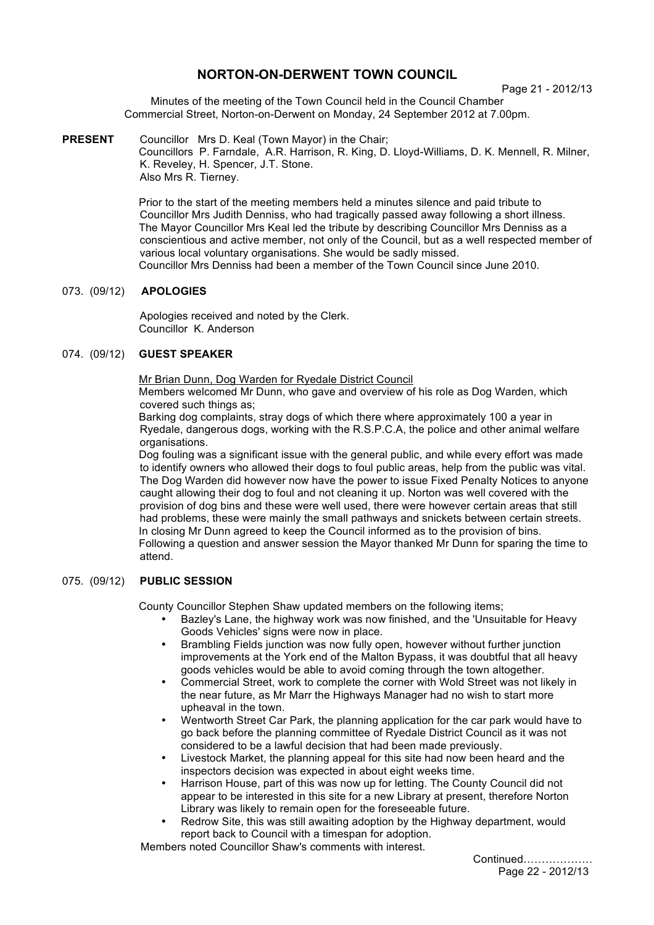# **NORTON-ON-DERWENT TOWN COUNCIL**

Page 21 - 2012/13

Minutes of the meeting of the Town Council held in the Council Chamber Commercial Street, Norton-on-Derwent on Monday, 24 September 2012 at 7.00pm.

**PRESENT** Councillor Mrs D. Keal (Town Mayor) in the Chair; Councillors P. Farndale, A.R. Harrison, R. King, D. Lloyd-Williams, D. K. Mennell, R. Milner, K. Reveley, H. Spencer, J.T. Stone. Also Mrs R. Tierney.

> Prior to the start of the meeting members held a minutes silence and paid tribute to Councillor Mrs Judith Denniss, who had tragically passed away following a short illness. The Mayor Councillor Mrs Keal led the tribute by describing Councillor Mrs Denniss as a conscientious and active member, not only of the Council, but as a well respected member of various local voluntary organisations. She would be sadly missed. Councillor Mrs Denniss had been a member of the Town Council since June 2010.

## 073. (09/12) **APOLOGIES**

 Apologies received and noted by the Clerk. Councillor K. Anderson

## 074. (09/12) **GUEST SPEAKER**

Mr Brian Dunn, Dog Warden for Ryedale District Council

Members welcomed Mr Dunn, who gave and overview of his role as Dog Warden, which covered such things as:

Barking dog complaints, stray dogs of which there where approximately 100 a year in Ryedale, dangerous dogs, working with the R.S.P.C.A, the police and other animal welfare organisations.

Dog fouling was a significant issue with the general public, and while every effort was made to identify owners who allowed their dogs to foul public areas, help from the public was vital. The Dog Warden did however now have the power to issue Fixed Penalty Notices to anyone caught allowing their dog to foul and not cleaning it up. Norton was well covered with the provision of dog bins and these were well used, there were however certain areas that still had problems, these were mainly the small pathways and snickets between certain streets. In closing Mr Dunn agreed to keep the Council informed as to the provision of bins. Following a question and answer session the Mayor thanked Mr Dunn for sparing the time to attend.

## 075. (09/12) **PUBLIC SESSION**

County Councillor Stephen Shaw updated members on the following items;

- Bazley's Lane, the highway work was now finished, and the 'Unsuitable for Heavy Goods Vehicles' signs were now in place.
- Brambling Fields junction was now fully open, however without further junction improvements at the York end of the Malton Bypass, it was doubtful that all heavy goods vehicles would be able to avoid coming through the town altogether.
- Commercial Street, work to complete the corner with Wold Street was not likely in the near future, as Mr Marr the Highways Manager had no wish to start more upheaval in the town.
- Wentworth Street Car Park, the planning application for the car park would have to go back before the planning committee of Ryedale District Council as it was not considered to be a lawful decision that had been made previously.
- Livestock Market, the planning appeal for this site had now been heard and the inspectors decision was expected in about eight weeks time.
- Harrison House, part of this was now up for letting. The County Council did not appear to be interested in this site for a new Library at present, therefore Norton Library was likely to remain open for the foreseeable future.
- Redrow Site, this was still awaiting adoption by the Highway department, would report back to Council with a timespan for adoption.

Members noted Councillor Shaw's comments with interest.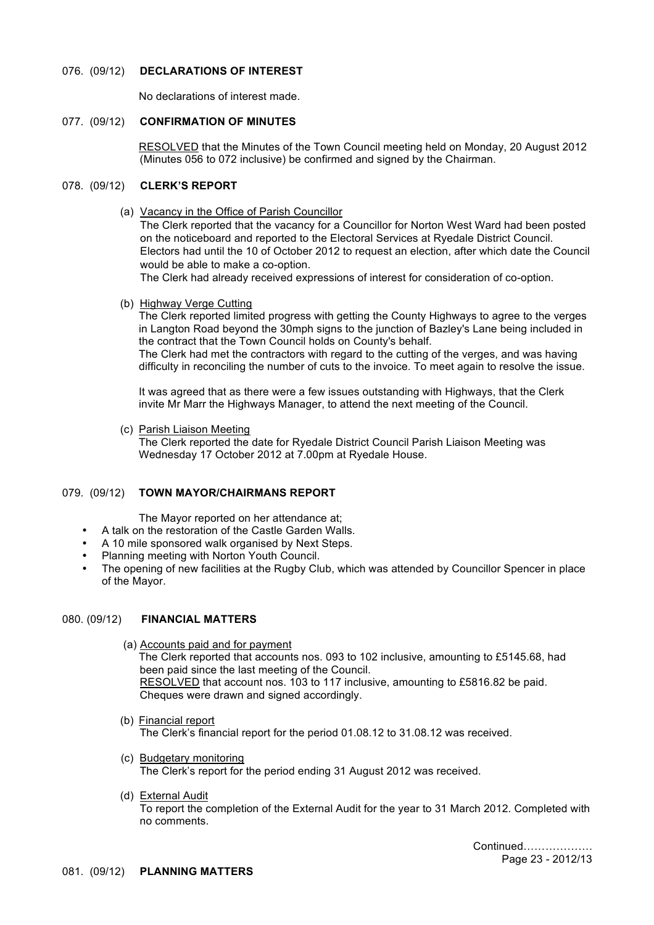#### 076. (09/12) **DECLARATIONS OF INTEREST**

No declarations of interest made.

#### 077. (09/12) **CONFIRMATION OF MINUTES**

RESOLVED that the Minutes of the Town Council meeting held on Monday, 20 August 2012 (Minutes 056 to 072 inclusive) be confirmed and signed by the Chairman.

# 078. (09/12) **CLERK'S REPORT**

(a) Vacancy in the Office of Parish Councillor

The Clerk reported that the vacancy for a Councillor for Norton West Ward had been posted on the noticeboard and reported to the Electoral Services at Ryedale District Council. Electors had until the 10 of October 2012 to request an election, after which date the Council would be able to make a co-option.

The Clerk had already received expressions of interest for consideration of co-option.

(b) Highway Verge Cutting

The Clerk reported limited progress with getting the County Highways to agree to the verges in Langton Road beyond the 30mph signs to the junction of Bazley's Lane being included in the contract that the Town Council holds on County's behalf. The Clerk had met the contractors with regard to the cutting of the verges, and was having difficulty in reconciling the number of cuts to the invoice. To meet again to resolve the issue.

It was agreed that as there were a few issues outstanding with Highways, that the Clerk invite Mr Marr the Highways Manager, to attend the next meeting of the Council.

(c) Parish Liaison Meeting

The Clerk reported the date for Ryedale District Council Parish Liaison Meeting was Wednesday 17 October 2012 at 7.00pm at Ryedale House.

# 079. (09/12) **TOWN MAYOR/CHAIRMANS REPORT**

The Mayor reported on her attendance at;

- A talk on the restoration of the Castle Garden Walls.
- A 10 mile sponsored walk organised by Next Steps.
- Planning meeting with Norton Youth Council.
- The opening of new facilities at the Rugby Club, which was attended by Councillor Spencer in place of the Mayor.

## 080. (09/12) **FINANCIAL MATTERS**

- (a) Accounts paid and for payment The Clerk reported that accounts nos. 093 to 102 inclusive, amounting to £5145.68, had been paid since the last meeting of the Council. RESOLVED that account nos. 103 to 117 inclusive, amounting to £5816.82 be paid. Cheques were drawn and signed accordingly.
- (b) Financial report The Clerk's financial report for the period 01.08.12 to 31.08.12 was received.
- (c) Budgetary monitoring The Clerk's report for the period ending 31 August 2012 was received.
- (d) External Audit

To report the completion of the External Audit for the year to 31 March 2012. Completed with no comments.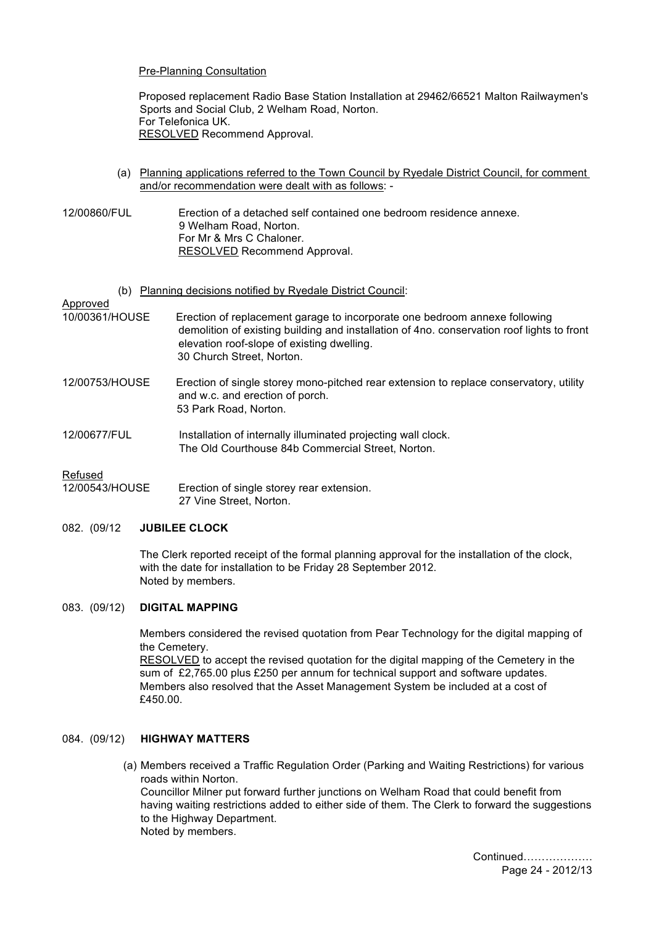#### Pre-Planning Consultation

Proposed replacement Radio Base Station Installation at 29462/66521 Malton Railwaymen's Sports and Social Club, 2 Welham Road, Norton. For Telefonica UK. RESOLVED Recommend Approval.

- (a) Planning applications referred to the Town Council by Ryedale District Council, for comment and/or recommendation were dealt with as follows: -
- 12/00860/FUL Erection of a detached self contained one bedroom residence annexe. 9 Welham Road, Norton. For Mr & Mrs C Chaloner. RESOLVED Recommend Approval.
	- (b) Planning decisions notified by Ryedale District Council:

# Approved

- 10/00361/HOUSE Erection of replacement garage to incorporate one bedroom annexe following demolition of existing building and installation of 4no. conservation roof lights to front elevation roof-slope of existing dwelling. 30 Church Street, Norton.
- 12/00753/HOUSE Erection of single storey mono-pitched rear extension to replace conservatory, utility and w.c. and erection of porch. 53 Park Road, Norton.
- 12/00677/FUL Installation of internally illuminated projecting wall clock. The Old Courthouse 84b Commercial Street, Norton.

#### Refused

12/00543/HOUSE Erection of single storey rear extension. 27 Vine Street, Norton.

### 082. (09/12 **JUBILEE CLOCK**

The Clerk reported receipt of the formal planning approval for the installation of the clock, with the date for installation to be Friday 28 September 2012. Noted by members.

#### 083. (09/12) **DIGITAL MAPPING**

Members considered the revised quotation from Pear Technology for the digital mapping of the Cemetery.

RESOLVED to accept the revised quotation for the digital mapping of the Cemetery in the sum of £2,765.00 plus £250 per annum for technical support and software updates. Members also resolved that the Asset Management System be included at a cost of £450.00.

# 084. (09/12) **HIGHWAY MATTERS**

(a) Members received a Traffic Regulation Order (Parking and Waiting Restrictions) for various roads within Norton.

Councillor Milner put forward further junctions on Welham Road that could benefit from having waiting restrictions added to either side of them. The Clerk to forward the suggestions to the Highway Department. Noted by members.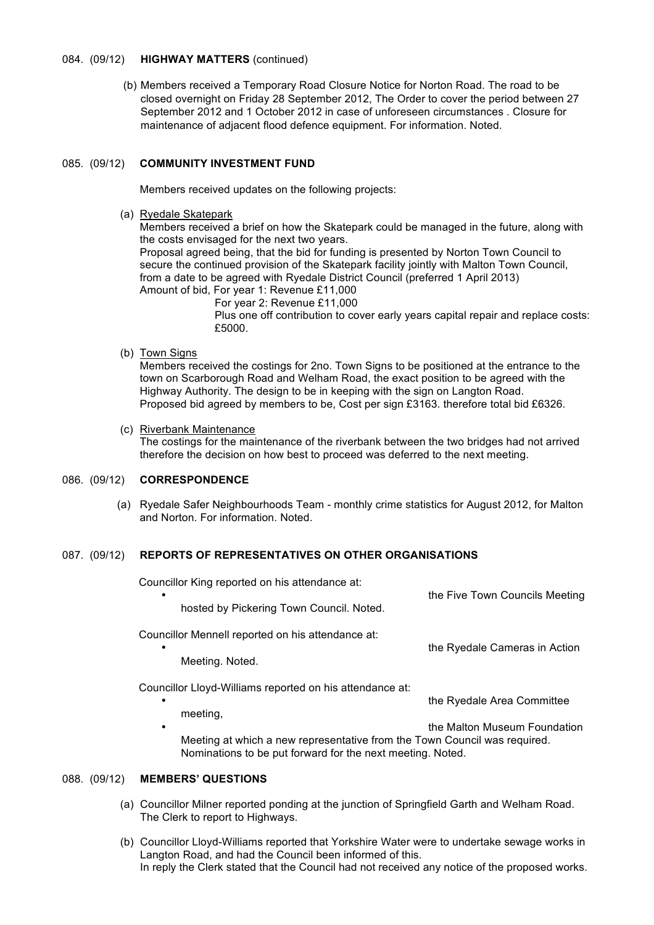#### 084. (09/12) **HIGHWAY MATTERS** (continued)

 (b) Members received a Temporary Road Closure Notice for Norton Road. The road to be closed overnight on Friday 28 September 2012, The Order to cover the period between 27 September 2012 and 1 October 2012 in case of unforeseen circumstances . Closure for maintenance of adjacent flood defence equipment. For information. Noted.

### 085. (09/12) **COMMUNITY INVESTMENT FUND**

Members received updates on the following projects:

(a) Ryedale Skatepark

Members received a brief on how the Skatepark could be managed in the future, along with the costs envisaged for the next two years.

Proposal agreed being, that the bid for funding is presented by Norton Town Council to secure the continued provision of the Skatepark facility jointly with Malton Town Council, from a date to be agreed with Ryedale District Council (preferred 1 April 2013) Amount of bid, For year 1: Revenue £11,000

For year 2: Revenue £11,000

Plus one off contribution to cover early years capital repair and replace costs: £5000.

(b) Town Signs

Members received the costings for 2no. Town Signs to be positioned at the entrance to the town on Scarborough Road and Welham Road, the exact position to be agreed with the Highway Authority. The design to be in keeping with the sign on Langton Road. Proposed bid agreed by members to be, Cost per sign £3163. therefore total bid £6326.

(c) Riverbank Maintenance

The costings for the maintenance of the riverbank between the two bridges had not arrived therefore the decision on how best to proceed was deferred to the next meeting.

# 086. (09/12) **CORRESPONDENCE**

 (a) Ryedale Safer Neighbourhoods Team - monthly crime statistics for August 2012, for Malton and Norton. For information. Noted.

## 087. (09/12) **REPORTS OF REPRESENTATIVES ON OTHER ORGANISATIONS**

Councillor King reported on his attendance at:

| $\bullet$<br>hosted by Pickering Town Council. Noted.                                                                                        | the Five Town Councils Meeting |
|----------------------------------------------------------------------------------------------------------------------------------------------|--------------------------------|
| Councillor Mennell reported on his attendance at:<br>٠<br>Meeting. Noted.                                                                    | the Ryedale Cameras in Action  |
| Councillor Lloyd-Williams reported on his attendance at:<br>٠<br>meeting,                                                                    | the Ryedale Area Committee     |
| ٠<br>Meeting at which a new representative from the Town Council was required.<br>Nominations to be put forward for the next meeting. Noted. | the Malton Museum Foundation   |

## 088. (09/12) **MEMBERS' QUESTIONS**

- (a) Councillor Milner reported ponding at the junction of Springfield Garth and Welham Road. The Clerk to report to Highways.
- (b) Councillor Lloyd-Williams reported that Yorkshire Water were to undertake sewage works in Langton Road, and had the Council been informed of this. In reply the Clerk stated that the Council had not received any notice of the proposed works.